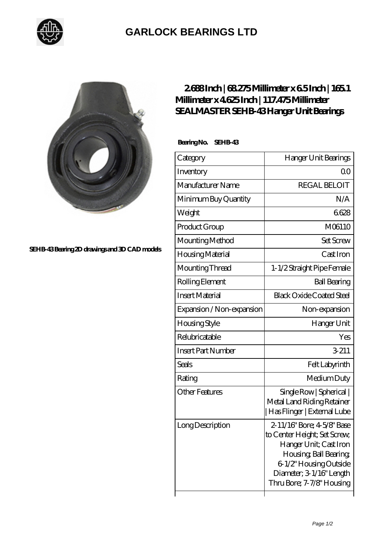

## **[GARLOCK BEARINGS LTD](https://m.letterstopriests.com)**



**[SEHB-43 Bearing 2D drawings and 3D CAD models](https://m.letterstopriests.com/pic-189010.html)**

## **[2.688 Inch | 68.275 Millimeter x 6.5 Inch | 165.1](https://m.letterstopriests.com/bz-189010-sealmaster-sehb-43-hanger-unit-bearings.html) [Millimeter x 4.625 Inch | 117.475 Millimeter](https://m.letterstopriests.com/bz-189010-sealmaster-sehb-43-hanger-unit-bearings.html) [SEALMASTER SEHB-43 Hanger Unit Bearings](https://m.letterstopriests.com/bz-189010-sealmaster-sehb-43-hanger-unit-bearings.html)**

 **Bearing No. SEHB-43**

| Category                  | Hanger Unit Bearings                                                                                                                                                                              |
|---------------------------|---------------------------------------------------------------------------------------------------------------------------------------------------------------------------------------------------|
| Inventory                 | 00                                                                                                                                                                                                |
| Manufacturer Name         | <b>REGAL BELOIT</b>                                                                                                                                                                               |
| Minimum Buy Quantity      | N/A                                                                                                                                                                                               |
| Weight                    | 6628                                                                                                                                                                                              |
| Product Group             | M06110                                                                                                                                                                                            |
| Mounting Method           | <b>Set Screw</b>                                                                                                                                                                                  |
| Housing Material          | Cast Iron                                                                                                                                                                                         |
| Mounting Thread           | 1-1/2 Straight Pipe Female                                                                                                                                                                        |
| Rolling Element           | <b>Ball Bearing</b>                                                                                                                                                                               |
| <b>Insert Material</b>    | <b>Black Oxide Coated Steel</b>                                                                                                                                                                   |
| Expansion / Non-expansion | Non-expansion                                                                                                                                                                                     |
| Housing Style             | Hanger Unit                                                                                                                                                                                       |
| Relubricatable            | Yes                                                                                                                                                                                               |
| <b>Insert Part Number</b> | 3-211                                                                                                                                                                                             |
| <b>Seals</b>              | Felt Labyrinth                                                                                                                                                                                    |
| Rating                    | Medium Duty                                                                                                                                                                                       |
| <b>Other Features</b>     | Single Row   Spherical  <br>Metal Land Riding Retainer<br>Has Flinger   External Lube                                                                                                             |
| Long Description          | 2-11/16" Bore; 4-5/8" Base<br>to Center Height; Set Screw,<br>Hanger Unit; Cast Iron<br>Housing, Ball Bearing,<br>6-1/2" Housing Outside<br>Diameter; 3 1/16" Length<br>Thru Bore; 7-7/8" Housing |